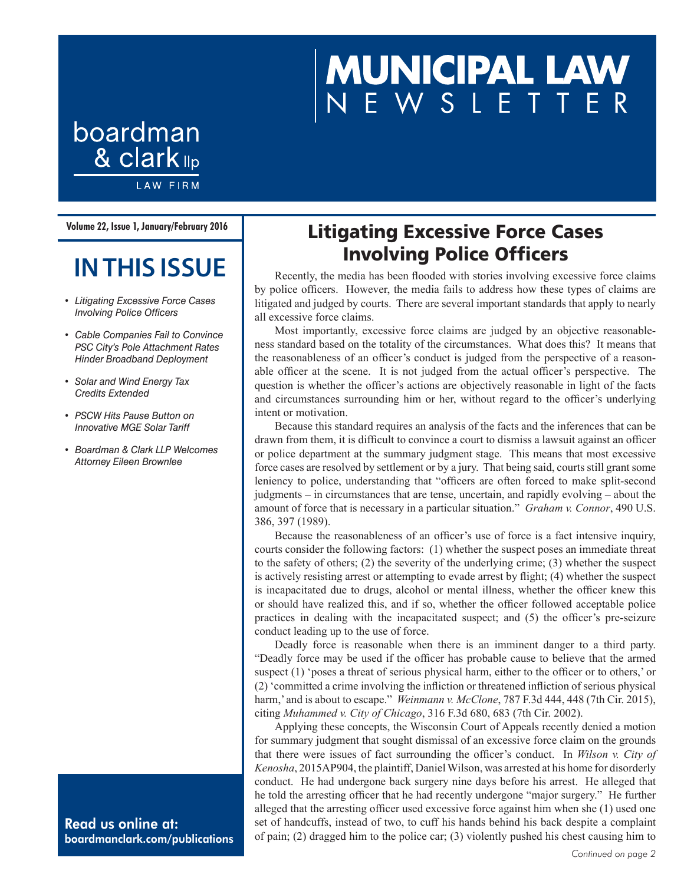# **MUNICIPAL LAW**<br>NEWSLETTER

boardman & clark <sub>llp</sub> **LAW FIRM** 

**Volume 22, Issue 1, January/February 2016**

## **IN THIS ISSUE**

- *• Litigating Excessive Force Cases Involving Police Officers*
- *• Cable Companies Fail to Convince PSC City's Pole Attachment Rates Hinder Broadband Deployment*
- *• Solar and Wind Energy Tax Credits Extended*
- *• PSCW Hits Pause Button on Innovative MGE Solar Tariff*
- *• Boardman & Clark LLP Welcomes Attorney Eileen Brownlee*

#### Read us online at: boardmanclark.com/publications

## Litigating Excessive Force Cases Involving Police Officers

Recently, the media has been flooded with stories involving excessive force claims by police officers. However, the media fails to address how these types of claims are litigated and judged by courts. There are several important standards that apply to nearly all excessive force claims.

Most importantly, excessive force claims are judged by an objective reasonableness standard based on the totality of the circumstances. What does this? It means that the reasonableness of an officer's conduct is judged from the perspective of a reasonable officer at the scene. It is not judged from the actual officer's perspective. The question is whether the officer's actions are objectively reasonable in light of the facts and circumstances surrounding him or her, without regard to the officer's underlying intent or motivation.

Because this standard requires an analysis of the facts and the inferences that can be drawn from them, it is difficult to convince a court to dismiss a lawsuit against an officer or police department at the summary judgment stage. This means that most excessive force cases are resolved by settlement or by a jury. That being said, courts still grant some leniency to police, understanding that "officers are often forced to make split-second judgments – in circumstances that are tense, uncertain, and rapidly evolving – about the amount of force that is necessary in a particular situation." *Graham v. Connor*, 490 U.S. 386, 397 (1989).

Because the reasonableness of an officer's use of force is a fact intensive inquiry, courts consider the following factors: (1) whether the suspect poses an immediate threat to the safety of others; (2) the severity of the underlying crime; (3) whether the suspect is actively resisting arrest or attempting to evade arrest by flight; (4) whether the suspect is incapacitated due to drugs, alcohol or mental illness, whether the officer knew this or should have realized this, and if so, whether the officer followed acceptable police practices in dealing with the incapacitated suspect; and (5) the officer's pre-seizure conduct leading up to the use of force.

Deadly force is reasonable when there is an imminent danger to a third party. "Deadly force may be used if the officer has probable cause to believe that the armed suspect (1) 'poses a threat of serious physical harm, either to the officer or to others,' or (2) 'committed a crime involving the infliction or threatened infliction of serious physical harm,' and is about to escape." *Weinmann v. McClone*, 787 F.3d 444, 448 (7th Cir. 2015), citing *Muhammed v. City of Chicago*, 316 F.3d 680, 683 (7th Cir. 2002).

Applying these concepts, the Wisconsin Court of Appeals recently denied a motion for summary judgment that sought dismissal of an excessive force claim on the grounds that there were issues of fact surrounding the officer's conduct. In *Wilson v. City of Kenosha*, 2015AP904, the plaintiff, Daniel Wilson, was arrested at his home for disorderly conduct. He had undergone back surgery nine days before his arrest. He alleged that he told the arresting officer that he had recently undergone "major surgery." He further alleged that the arresting officer used excessive force against him when she (1) used one set of handcuffs, instead of two, to cuff his hands behind his back despite a complaint of pain; (2) dragged him to the police car; (3) violently pushed his chest causing him to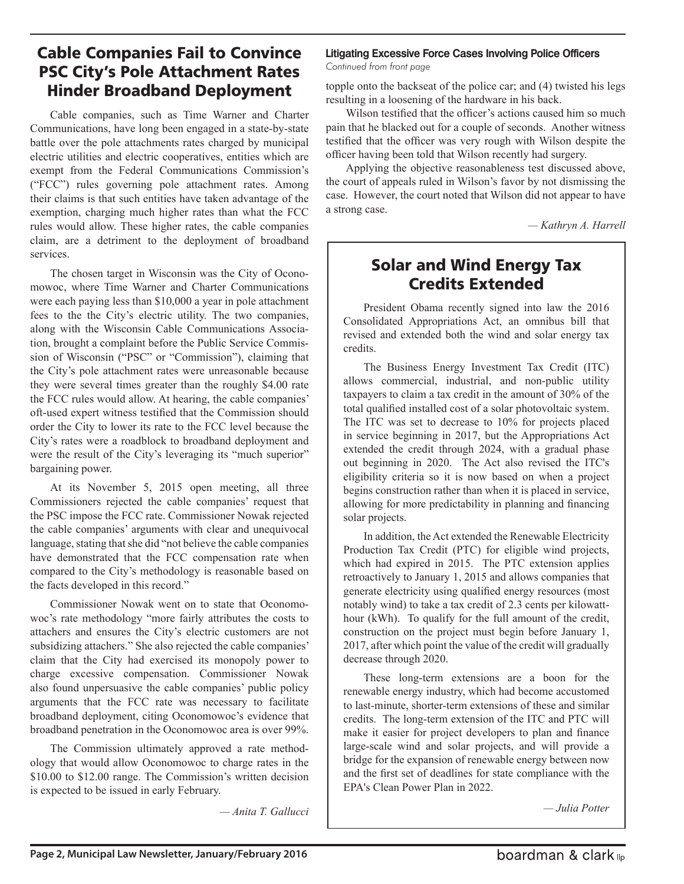#### Cable Companies Fail to Convince PSC City's Pole Attachment Rates Hinder Broadband Deployment

Cable companies, such as Time Warner and Charter Communications, have long been engaged in a state-by-state battle over the pole attachments rates charged by municipal electric utilities and electric cooperatives, entities which are exempt from the Federal Communications Commission's ("FCC") rules governing pole attachment rates. Among their claims is that such entities have taken advantage of the exemption, charging much higher rates than what the FCC rules would allow. These higher rates, the cable companies claim, are a detriment to the deployment of broadband services.

The chosen target in Wisconsin was the City of Oconomowoc, where Time Warner and Charter Communications were each paying less than \$10,000 a year in pole attachment fees to the the City's electric utility. The two companies, along with the Wisconsin Cable Communications Association, brought a complaint before the Public Service Commission of Wisconsin ("PSC" or "Commission"), claiming that the City's pole attachment rates were unreasonable because they were several times greater than the roughly \$4.00 rate the FCC rules would allow. At hearing, the cable companies' oft-used expert witness testified that the Commission should order the City to lower its rate to the FCC level because the City's rates were a roadblock to broadband deployment and were the result of the City's leveraging its "much superior" bargaining power.

At its November 5, 2015 open meeting, all three Commissioners rejected the cable companies' request that the PSC impose the FCC rate. Commissioner Nowak rejected the cable companies' arguments with clear and unequivocal language, stating that she did "not believe the cable companies have demonstrated that the FCC compensation rate when compared to the City's methodology is reasonable based on the facts developed in this record."

Commissioner Nowak went on to state that Oconomowoc's rate methodology "more fairly attributes the costs to attachers and ensures the City's electric customers are not subsidizing attachers." She also rejected the cable companies' claim that the City had exercised its monopoly power to charge excessive compensation. Commissioner Nowak also found unpersuasive the cable companies' public policy arguments that the FCC rate was necessary to facilitate broadband deployment, citing Oconomowoc's evidence that broadband penetration in the Oconomowoc area is over 99%.

The Commission ultimately approved a rate methodology that would allow Oconomowoc to charge rates in the \$10.00 to \$12.00 range. The Commission's written decision is expected to be issued in early February.

*— Anita T. Gallucci*

#### **Litigating Excessive Force Cases Involving Police Officers** *Continued from front page*

topple onto the backseat of the police car; and (4) twisted his legs resulting in a loosening of the hardware in his back.

Wilson testified that the officer's actions caused him so much pain that he blacked out for a couple of seconds. Another witness testified that the officer was very rough with Wilson despite the officer having been told that Wilson recently had surgery.

Applying the objective reasonableness test discussed above, the court of appeals ruled in Wilson's favor by not dismissing the case. However, the court noted that Wilson did not appear to have a strong case.

*— Kathryn A. Harrell*

### Solar and Wind Energy Tax Credits Extended

President Obama recently signed into law the 2016 Consolidated Appropriations Act, an omnibus bill that revised and extended both the wind and solar energy tax credits.

The Business Energy Investment Tax Credit (ITC) allows commercial, industrial, and non-public utility taxpayers to claim a tax credit in the amount of 30% of the total qualified installed cost of a solar photovoltaic system. The ITC was set to decrease to 10% for projects placed in service beginning in 2017, but the Appropriations Act extended the credit through 2024, with a gradual phase out beginning in 2020. The Act also revised the ITC's eligibility criteria so it is now based on when a project begins construction rather than when it is placed in service, allowing for more predictability in planning and financing solar projects.

In addition, the Act extended the Renewable Electricity Production Tax Credit (PTC) for eligible wind projects, which had expired in 2015. The PTC extension applies retroactively to January 1, 2015 and allows companies that generate electricity using qualified energy resources (most notably wind) to take a tax credit of 2.3 cents per kilowatthour (kWh). To qualify for the full amount of the credit, construction on the project must begin before January 1, 2017, after which point the value of the credit will gradually decrease through 2020.

These long-term extensions are a boon for the renewable energy industry, which had become accustomed to last-minute, shorter-term extensions of these and similar credits. The long-term extension of the ITC and PTC will make it easier for project developers to plan and finance large-scale wind and solar projects, and will provide a bridge for the expansion of renewable energy between now and the first set of deadlines for state compliance with the EPA's Clean Power Plan in 2022.

*— Julia Potter*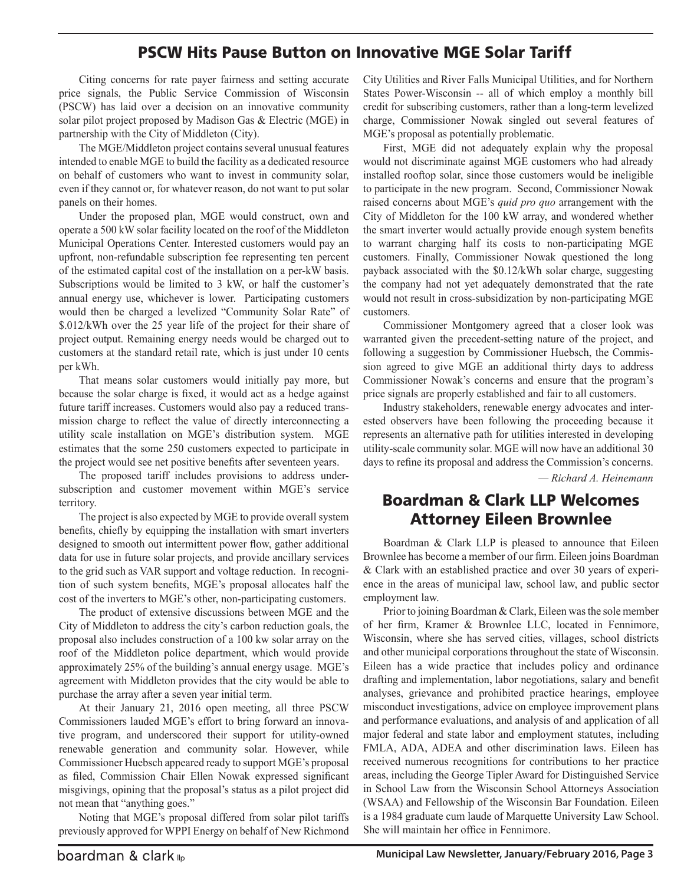#### PSCW Hits Pause Button on Innovative MGE Solar Tariff

Citing concerns for rate payer fairness and setting accurate price signals, the Public Service Commission of Wisconsin (PSCW) has laid over a decision on an innovative community solar pilot project proposed by Madison Gas & Electric (MGE) in partnership with the City of Middleton (City).

The MGE/Middleton project contains several unusual features intended to enable MGE to build the facility as a dedicated resource on behalf of customers who want to invest in community solar, even if they cannot or, for whatever reason, do not want to put solar panels on their homes.

Under the proposed plan, MGE would construct, own and operate a 500 kW solar facility located on the roof of the Middleton Municipal Operations Center. Interested customers would pay an upfront, non-refundable subscription fee representing ten percent of the estimated capital cost of the installation on a per-kW basis. Subscriptions would be limited to 3 kW, or half the customer's annual energy use, whichever is lower. Participating customers would then be charged a levelized "Community Solar Rate" of \$.012/kWh over the 25 year life of the project for their share of project output. Remaining energy needs would be charged out to customers at the standard retail rate, which is just under 10 cents per kWh.

That means solar customers would initially pay more, but because the solar charge is fixed, it would act as a hedge against future tariff increases. Customers would also pay a reduced transmission charge to reflect the value of directly interconnecting a utility scale installation on MGE's distribution system. MGE estimates that the some 250 customers expected to participate in the project would see net positive benefits after seventeen years.

The proposed tariff includes provisions to address undersubscription and customer movement within MGE's service territory.

The project is also expected by MGE to provide overall system benefits, chiefly by equipping the installation with smart inverters designed to smooth out intermittent power flow, gather additional data for use in future solar projects, and provide ancillary services to the grid such as VAR support and voltage reduction. In recognition of such system benefits, MGE's proposal allocates half the cost of the inverters to MGE's other, non-participating customers.

The product of extensive discussions between MGE and the City of Middleton to address the city's carbon reduction goals, the proposal also includes construction of a 100 kw solar array on the roof of the Middleton police department, which would provide approximately 25% of the building's annual energy usage. MGE's agreement with Middleton provides that the city would be able to purchase the array after a seven year initial term.

At their January 21, 2016 open meeting, all three PSCW Commissioners lauded MGE's effort to bring forward an innovative program, and underscored their support for utility-owned renewable generation and community solar. However, while Commissioner Huebsch appeared ready to support MGE's proposal as filed, Commission Chair Ellen Nowak expressed significant misgivings, opining that the proposal's status as a pilot project did not mean that "anything goes."

Noting that MGE's proposal differed from solar pilot tariffs previously approved for WPPI Energy on behalf of New Richmond City Utilities and River Falls Municipal Utilities, and for Northern States Power-Wisconsin -- all of which employ a monthly bill credit for subscribing customers, rather than a long-term levelized charge, Commissioner Nowak singled out several features of MGE's proposal as potentially problematic.

First, MGE did not adequately explain why the proposal would not discriminate against MGE customers who had already installed rooftop solar, since those customers would be ineligible to participate in the new program. Second, Commissioner Nowak raised concerns about MGE's *quid pro quo* arrangement with the City of Middleton for the 100 kW array, and wondered whether the smart inverter would actually provide enough system benefits to warrant charging half its costs to non-participating MGE customers. Finally, Commissioner Nowak questioned the long payback associated with the \$0.12/kWh solar charge, suggesting the company had not yet adequately demonstrated that the rate would not result in cross-subsidization by non-participating MGE customers.

Commissioner Montgomery agreed that a closer look was warranted given the precedent-setting nature of the project, and following a suggestion by Commissioner Huebsch, the Commission agreed to give MGE an additional thirty days to address Commissioner Nowak's concerns and ensure that the program's price signals are properly established and fair to all customers.

Industry stakeholders, renewable energy advocates and interested observers have been following the proceeding because it represents an alternative path for utilities interested in developing utility-scale community solar. MGE will now have an additional 30 days to refine its proposal and address the Commission's concerns.

*— Richard A. Heinemann*

#### Boardman & Clark LLP Welcomes Attorney Eileen Brownlee

Boardman & Clark LLP is pleased to announce that Eileen Brownlee has become a member of our firm. Eileen joins Boardman & Clark with an established practice and over 30 years of experience in the areas of municipal law, school law, and public sector employment law.

Prior to joining Boardman & Clark, Eileen was the sole member of her firm, Kramer & Brownlee LLC, located in Fennimore, Wisconsin, where she has served cities, villages, school districts and other municipal corporations throughout the state of Wisconsin. Eileen has a wide practice that includes policy and ordinance drafting and implementation, labor negotiations, salary and benefit analyses, grievance and prohibited practice hearings, employee misconduct investigations, advice on employee improvement plans and performance evaluations, and analysis of and application of all major federal and state labor and employment statutes, including FMLA, ADA, ADEA and other discrimination laws. Eileen has received numerous recognitions for contributions to her practice areas, including the George Tipler Award for Distinguished Service in School Law from the Wisconsin School Attorneys Association (WSAA) and Fellowship of the Wisconsin Bar Foundation. Eileen is a 1984 graduate cum laude of Marquette University Law School. She will maintain her office in Fennimore.